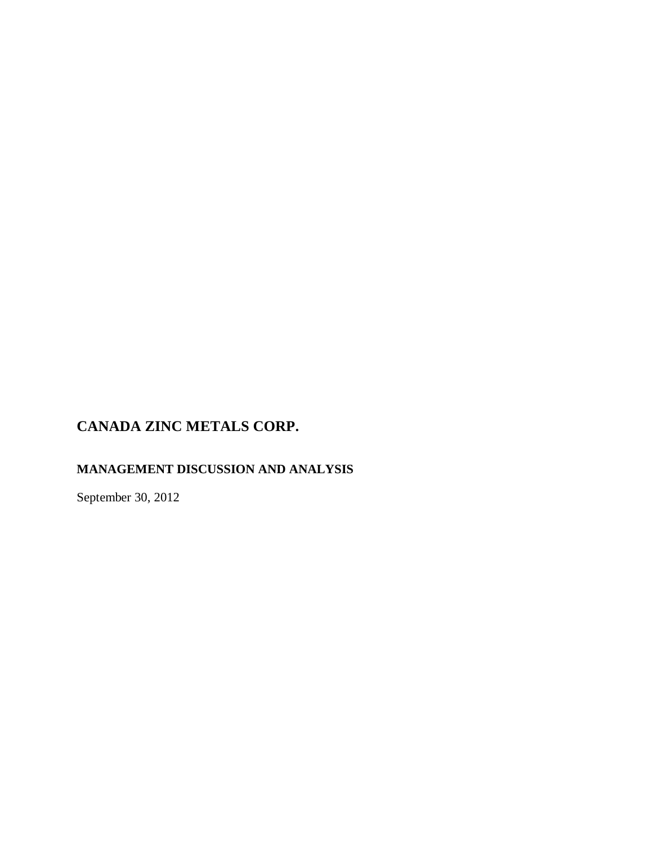# **MANAGEMENT DISCUSSION AND ANALYSIS**

September 30, 2012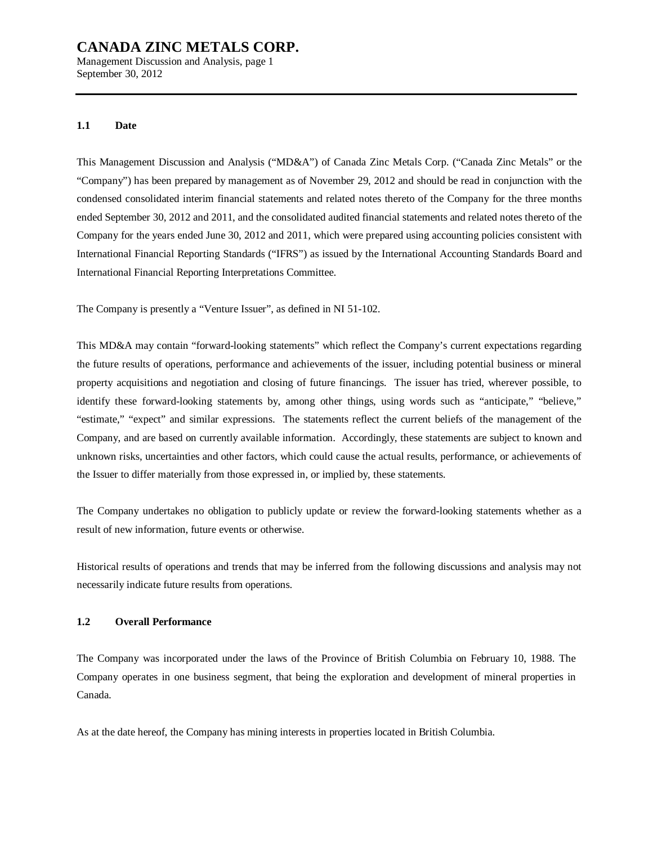Management Discussion and Analysis, page 1 September 30, 2012

#### **1.1 Date**

This Management Discussion and Analysis ("MD&A") of Canada Zinc Metals Corp. ("Canada Zinc Metals" or the "Company") has been prepared by management as of November 29, 2012 and should be read in conjunction with the condensed consolidated interim financial statements and related notes thereto of the Company for the three months ended September 30, 2012 and 2011, and the consolidated audited financial statements and related notes thereto of the Company for the years ended June 30, 2012 and 2011, which were prepared using accounting policies consistent with International Financial Reporting Standards ("IFRS") as issued by the International Accounting Standards Board and International Financial Reporting Interpretations Committee.

The Company is presently a "Venture Issuer", as defined in NI 51-102.

This MD&A may contain "forward-looking statements" which reflect the Company's current expectations regarding the future results of operations, performance and achievements of the issuer, including potential business or mineral property acquisitions and negotiation and closing of future financings. The issuer has tried, wherever possible, to identify these forward-looking statements by, among other things, using words such as "anticipate," "believe," "estimate," "expect" and similar expressions. The statements reflect the current beliefs of the management of the Company, and are based on currently available information. Accordingly, these statements are subject to known and unknown risks, uncertainties and other factors, which could cause the actual results, performance, or achievements of the Issuer to differ materially from those expressed in, or implied by, these statements.

The Company undertakes no obligation to publicly update or review the forward-looking statements whether as a result of new information, future events or otherwise.

Historical results of operations and trends that may be inferred from the following discussions and analysis may not necessarily indicate future results from operations.

## **1.2 Overall Performance**

The Company was incorporated under the laws of the Province of British Columbia on February 10, 1988. The Company operates in one business segment, that being the exploration and development of mineral properties in Canada.

As at the date hereof, the Company has mining interests in properties located in British Columbia.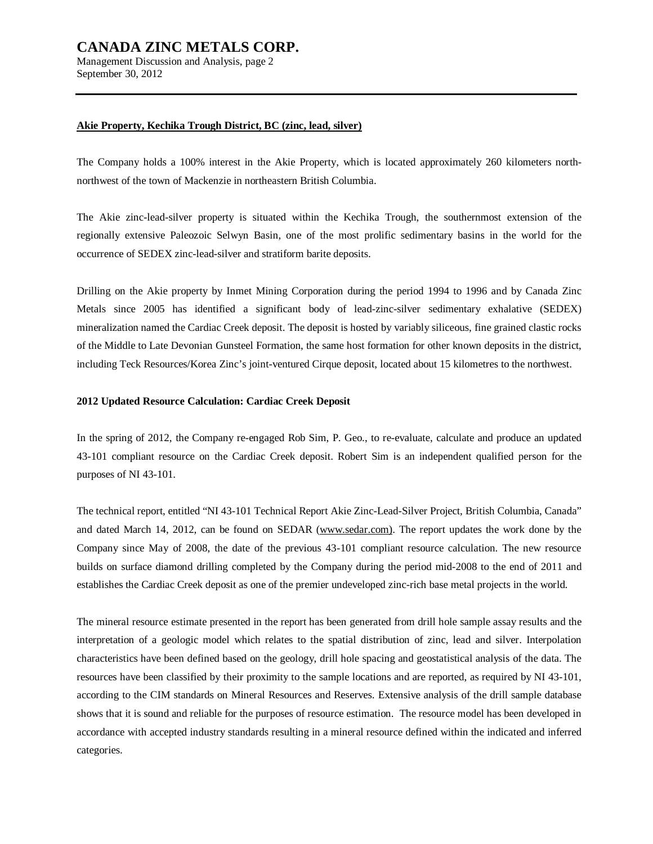Management Discussion and Analysis, page 2 September 30, 2012

#### **Akie Property, Kechika Trough District, BC (zinc, lead, silver)**

The Company holds a 100% interest in the Akie Property, which is located approximately 260 kilometers northnorthwest of the town of Mackenzie in northeastern British Columbia.

The Akie zinc-lead-silver property is situated within the Kechika Trough, the southernmost extension of the regionally extensive Paleozoic Selwyn Basin, one of the most prolific sedimentary basins in the world for the occurrence of SEDEX zinc-lead-silver and stratiform barite deposits.

Drilling on the Akie property by Inmet Mining Corporation during the period 1994 to 1996 and by Canada Zinc Metals since 2005 has identified a significant body of lead-zinc-silver sedimentary exhalative (SEDEX) mineralization named the Cardiac Creek deposit. The deposit is hosted by variably siliceous, fine grained clastic rocks of the Middle to Late Devonian Gunsteel Formation, the same host formation for other known deposits in the district, including Teck Resources/Korea Zinc's joint-ventured Cirque deposit, located about 15 kilometres to the northwest.

## **2012 Updated Resource Calculation: Cardiac Creek Deposit**

In the spring of 2012, the Company re-engaged Rob Sim, P. Geo., to re-evaluate, calculate and produce an updated 43-101 compliant resource on the Cardiac Creek deposit. Robert Sim is an independent qualified person for the purposes of NI 43-101.

The technical report, entitled "NI 43-101 Technical Report Akie Zinc-Lead-Silver Project, British Columbia, Canada" and dated March 14, 2012, can be found on SEDAR ([www.sedar.com\)](http://www.sedar.com)). The report updates the work done by the Company since May of 2008, the date of the previous 43-101 compliant resource calculation. The new resource builds on surface diamond drilling completed by the Company during the period mid-2008 to the end of 2011 and establishes the Cardiac Creek deposit as one of the premier undeveloped zinc-rich base metal projects in the world.

The mineral resource estimate presented in the report has been generated from drill hole sample assay results and the interpretation of a geologic model which relates to the spatial distribution of zinc, lead and silver. Interpolation characteristics have been defined based on the geology, drill hole spacing and geostatistical analysis of the data. The resources have been classified by their proximity to the sample locations and are reported, as required by NI 43-101, according to the CIM standards on Mineral Resources and Reserves. Extensive analysis of the drill sample database shows that it is sound and reliable for the purposes of resource estimation. The resource model has been developed in accordance with accepted industry standards resulting in a mineral resource defined within the indicated and inferred categories.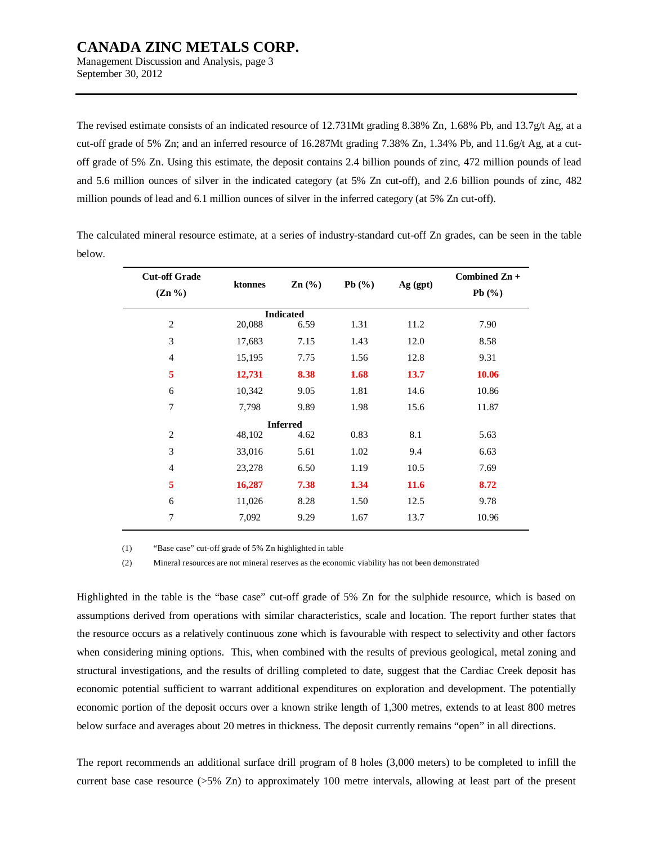Management Discussion and Analysis, page 3 September 30, 2012

The revised estimate consists of an indicated resource of 12.731Mt grading 8.38% Zn, 1.68% Pb, and 13.7g/t Ag, at a cut-off grade of 5% Zn; and an inferred resource of 16.287Mt grading 7.38% Zn, 1.34% Pb, and 11.6g/t Ag, at a cutoff grade of 5% Zn. Using this estimate, the deposit contains 2.4 billion pounds of zinc, 472 million pounds of lead and 5.6 million ounces of silver in the indicated category (at 5% Zn cut-off), and 2.6 billion pounds of zinc, 482 million pounds of lead and 6.1 million ounces of silver in the inferred category (at 5% Zn cut-off).

The calculated mineral resource estimate, at a series of industry-standard cut-off Zn grades, can be seen in the table below.

| <b>Cut-off Grade</b> | ktonnes          | $\text{Zn}$ $\left(\frac{9}{6}\right)$ | Pb $(\%)$ | Ag (gpt)    | Combined Zn + |
|----------------------|------------------|----------------------------------------|-----------|-------------|---------------|
| $(Zn \% )$           |                  |                                        |           |             | Pb(%)         |
|                      | <b>Indicated</b> |                                        |           |             |               |
| $\overline{2}$       | 20,088           | 6.59                                   | 1.31      | 11.2        | 7.90          |
| 3                    | 17,683           | 7.15                                   | 1.43      | 12.0        | 8.58          |
| 4                    | 15,195           | 7.75                                   | 1.56      | 12.8        | 9.31          |
| 5                    | 12,731           | 8.38                                   | 1.68      | <b>13.7</b> | 10.06         |
| 6                    | 10,342           | 9.05                                   | 1.81      | 14.6        | 10.86         |
| 7                    | 7,798            | 9.89                                   | 1.98      | 15.6        | 11.87         |
|                      |                  | <b>Inferred</b>                        |           |             |               |
| $\overline{2}$       | 48,102           | 4.62                                   | 0.83      | 8.1         | 5.63          |
| 3                    | 33,016           | 5.61                                   | 1.02      | 9.4         | 6.63          |
| $\overline{4}$       | 23,278           | 6.50                                   | 1.19      | 10.5        | 7.69          |
| 5                    | 16,287           | 7.38                                   | 1.34      | 11.6        | 8.72          |
| 6                    | 11,026           | 8.28                                   | 1.50      | 12.5        | 9.78          |
| 7                    | 7,092            | 9.29                                   | 1.67      | 13.7        | 10.96         |

(1) "Base case" cut-off grade of 5% Zn highlighted in table

(2) Mineral resources are not mineral reserves as the economic viability has not been demonstrated

Highlighted in the table is the "base case" cut-off grade of 5% Zn for the sulphide resource, which is based on assumptions derived from operations with similar characteristics, scale and location. The report further states that the resource occurs as a relatively continuous zone which is favourable with respect to selectivity and other factors when considering mining options. This, when combined with the results of previous geological, metal zoning and structural investigations, and the results of drilling completed to date, suggest that the Cardiac Creek deposit has economic potential sufficient to warrant additional expenditures on exploration and development. The potentially economic portion of the deposit occurs over a known strike length of 1,300 metres, extends to at least 800 metres below surface and averages about 20 metres in thickness. The deposit currently remains "open" in all directions.

The report recommends an additional surface drill program of 8 holes (3,000 meters) to be completed to infill the current base case resource ( $>5\%$  Zn) to approximately 100 metre intervals, allowing at least part of the present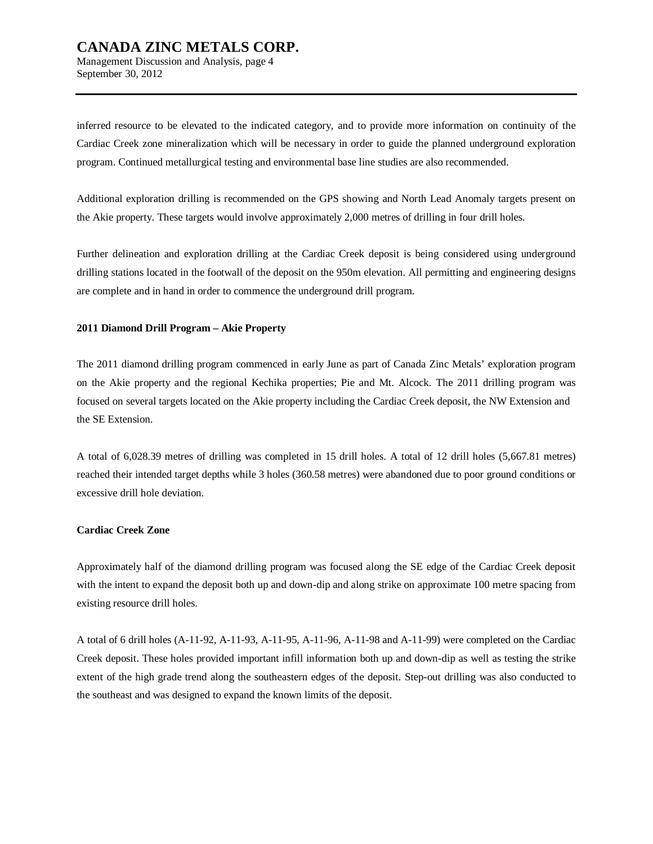Management Discussion and Analysis, page 4 September 30, 2012

inferred resource to be elevated to the indicated category, and to provide more information on continuity of the Cardiac Creek zone mineralization which will be necessary in order to guide the planned underground exploration program. Continued metallurgical testing and environmental base line studies are also recommended.

Additional exploration drilling is recommended on the GPS showing and North Lead Anomaly targets present on the Akie property. These targets would involve approximately 2,000 metres of drilling in four drill holes.

Further delineation and exploration drilling at the Cardiac Creek deposit is being considered using underground drilling stations located in the footwall of the deposit on the 950m elevation. All permitting and engineering designs are complete and in hand in order to commence the underground drill program.

## **2011 Diamond Drill Program – Akie Property**

The 2011 diamond drilling program commenced in early June as part of Canada Zinc Metals' exploration program on the Akie property and the regional Kechika properties; Pie and Mt. Alcock. The 2011 drilling program was focused on several targets located on the Akie property including the Cardiac Creek deposit, the NW Extension and the SE Extension.

A total of 6,028.39 metres of drilling was completed in 15 drill holes. A total of 12 drill holes (5,667.81 metres) reached their intended target depths while 3 holes (360.58 metres) were abandoned due to poor ground conditions or excessive drill hole deviation.

## **Cardiac Creek Zone**

Approximately half of the diamond drilling program was focused along the SE edge of the Cardiac Creek deposit with the intent to expand the deposit both up and down-dip and along strike on approximate 100 metre spacing from existing resource drill holes.

A total of 6 drill holes (A-11-92, A-11-93, A-11-95, A-11-96, A-11-98 and A-11-99) were completed on the Cardiac Creek deposit. These holes provided important infill information both up and down-dip as well as testing the strike extent of the high grade trend along the southeastern edges of the deposit. Step-out drilling was also conducted to the southeast and was designed to expand the known limits of the deposit.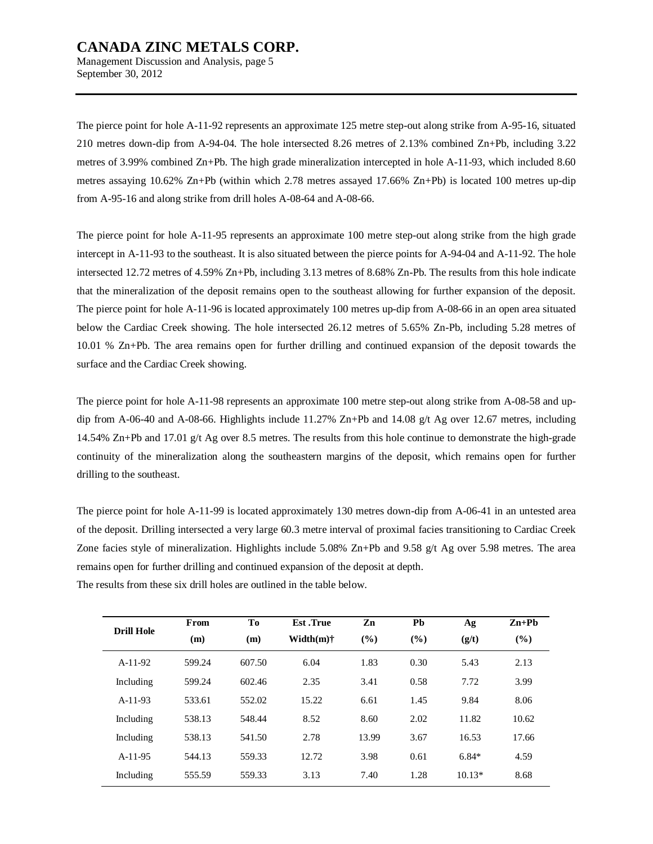Management Discussion and Analysis, page 5 September 30, 2012

The pierce point for hole A-11-92 represents an approximate 125 metre step-out along strike from A-95-16, situated 210 metres down-dip from A-94-04. The hole intersected 8.26 metres of 2.13% combined Zn+Pb, including 3.22 metres of 3.99% combined Zn+Pb. The high grade mineralization intercepted in hole A-11-93, which included 8.60 metres assaying 10.62% Zn+Pb (within which 2.78 metres assayed 17.66% Zn+Pb) is located 100 metres up-dip from A-95-16 and along strike from drill holes A-08-64 and A-08-66.

The pierce point for hole A-11-95 represents an approximate 100 metre step-out along strike from the high grade intercept in A-11-93 to the southeast. It is also situated between the pierce points for A-94-04 and A-11-92. The hole intersected 12.72 metres of 4.59% Zn+Pb, including 3.13 metres of 8.68% Zn-Pb. The results from this hole indicate that the mineralization of the deposit remains open to the southeast allowing for further expansion of the deposit. The pierce point for hole A-11-96 is located approximately 100 metres up-dip from A-08-66 in an open area situated below the Cardiac Creek showing. The hole intersected 26.12 metres of 5.65% Zn-Pb, including 5.28 metres of 10.01 % Zn+Pb. The area remains open for further drilling and continued expansion of the deposit towards the surface and the Cardiac Creek showing.

The pierce point for hole A-11-98 represents an approximate 100 metre step-out along strike from A-08-58 and updip from A-06-40 and A-08-66. Highlights include 11.27% Zn+Pb and 14.08 g/t Ag over 12.67 metres, including 14.54% Zn+Pb and 17.01 g/t Ag over 8.5 metres. The results from this hole continue to demonstrate the high-grade continuity of the mineralization along the southeastern margins of the deposit, which remains open for further drilling to the southeast.

The pierce point for hole A-11-99 is located approximately 130 metres down-dip from A-06-41 in an untested area of the deposit. Drilling intersected a very large 60.3 metre interval of proximal facies transitioning to Cardiac Creek Zone facies style of mineralization. Highlights include 5.08% Zn+Pb and 9.58 g/t Ag over 5.98 metres. The area remains open for further drilling and continued expansion of the deposit at depth.

| <b>Drill Hole</b> | From<br>(m) | To<br>(m) | <b>Est</b> .True<br>Width $(m)$ † | Zn<br>$($ %) | Pb<br>$($ %) | Ag<br>(g/t) | $Zn+Pb$<br>(%) |
|-------------------|-------------|-----------|-----------------------------------|--------------|--------------|-------------|----------------|
| $A-11-92$         | 599.24      | 607.50    | 6.04                              | 1.83         | 0.30         | 5.43        | 2.13           |
| Including         | 599.24      | 602.46    | 2.35                              | 3.41         | 0.58         | 7.72        | 3.99           |
| $A-11-93$         | 533.61      | 552.02    | 15.22                             | 6.61         | 1.45         | 9.84        | 8.06           |
| Including         | 538.13      | 548.44    | 8.52                              | 8.60         | 2.02         | 11.82       | 10.62          |
| Including         | 538.13      | 541.50    | 2.78                              | 13.99        | 3.67         | 16.53       | 17.66          |
| $A-11-95$         | 544.13      | 559.33    | 12.72                             | 3.98         | 0.61         | $6.84*$     | 4.59           |
| Including         | 555.59      | 559.33    | 3.13                              | 7.40         | 1.28         | $10.13*$    | 8.68           |

The results from these six drill holes are outlined in the table below.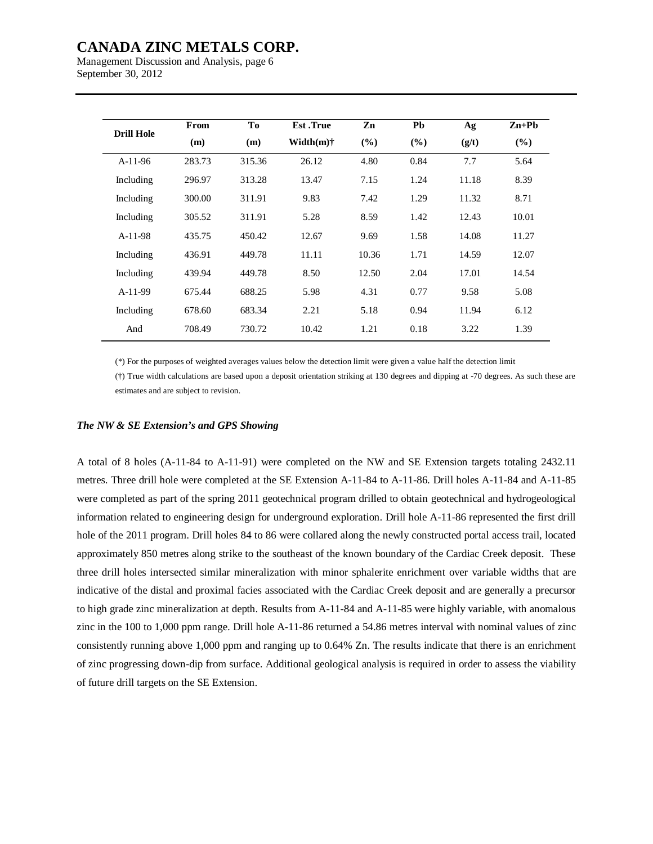Management Discussion and Analysis, page 6 September 30, 2012

|                   | From   | To     | <b>Est</b> .True | Zn            | Pb     | Ag    | $Zn+Pb$ |
|-------------------|--------|--------|------------------|---------------|--------|-------|---------|
| <b>Drill Hole</b> | (m)    | (m)    | Width(m)†        | $\frac{9}{6}$ | $(\%)$ | (g/t) | (%)     |
| $A-11-96$         | 283.73 | 315.36 | 26.12            | 4.80          | 0.84   | 7.7   | 5.64    |
| Including         | 296.97 | 313.28 | 13.47            | 7.15          | 1.24   | 11.18 | 8.39    |
| Including         | 300.00 | 311.91 | 9.83             | 7.42          | 1.29   | 11.32 | 8.71    |
| Including         | 305.52 | 311.91 | 5.28             | 8.59          | 1.42   | 12.43 | 10.01   |
| $A-11-98$         | 435.75 | 450.42 | 12.67            | 9.69          | 1.58   | 14.08 | 11.27   |
| Including         | 436.91 | 449.78 | 11.11            | 10.36         | 1.71   | 14.59 | 12.07   |
| Including         | 439.94 | 449.78 | 8.50             | 12.50         | 2.04   | 17.01 | 14.54   |
| $A-11-99$         | 675.44 | 688.25 | 5.98             | 4.31          | 0.77   | 9.58  | 5.08    |
| Including         | 678.60 | 683.34 | 2.21             | 5.18          | 0.94   | 11.94 | 6.12    |
| And               | 708.49 | 730.72 | 10.42            | 1.21          | 0.18   | 3.22  | 1.39    |

(\*) For the purposes of weighted averages values below the detection limit were given a value half the detection limit

(†) True width calculations are based upon a deposit orientation striking at 130 degrees and dipping at -70 degrees. As such these are estimates and are subject to revision.

#### *The NW & SE Extension's and GPS Showing*

A total of 8 holes (A-11-84 to A-11-91) were completed on the NW and SE Extension targets totaling 2432.11 metres. Three drill hole were completed at the SE Extension A-11-84 to A-11-86. Drill holes A-11-84 and A-11-85 were completed as part of the spring 2011 geotechnical program drilled to obtain geotechnical and hydrogeological information related to engineering design for underground exploration. Drill hole A-11-86 represented the first drill hole of the 2011 program. Drill holes 84 to 86 were collared along the newly constructed portal access trail, located approximately 850 metres along strike to the southeast of the known boundary of the Cardiac Creek deposit. These three drill holes intersected similar mineralization with minor sphalerite enrichment over variable widths that are indicative of the distal and proximal facies associated with the Cardiac Creek deposit and are generally a precursor to high grade zinc mineralization at depth. Results from A-11-84 and A-11-85 were highly variable, with anomalous zinc in the 100 to 1,000 ppm range. Drill hole A-11-86 returned a 54.86 metres interval with nominal values of zinc consistently running above 1,000 ppm and ranging up to 0.64% Zn. The results indicate that there is an enrichment of zinc progressing down-dip from surface. Additional geological analysis is required in order to assess the viability of future drill targets on the SE Extension.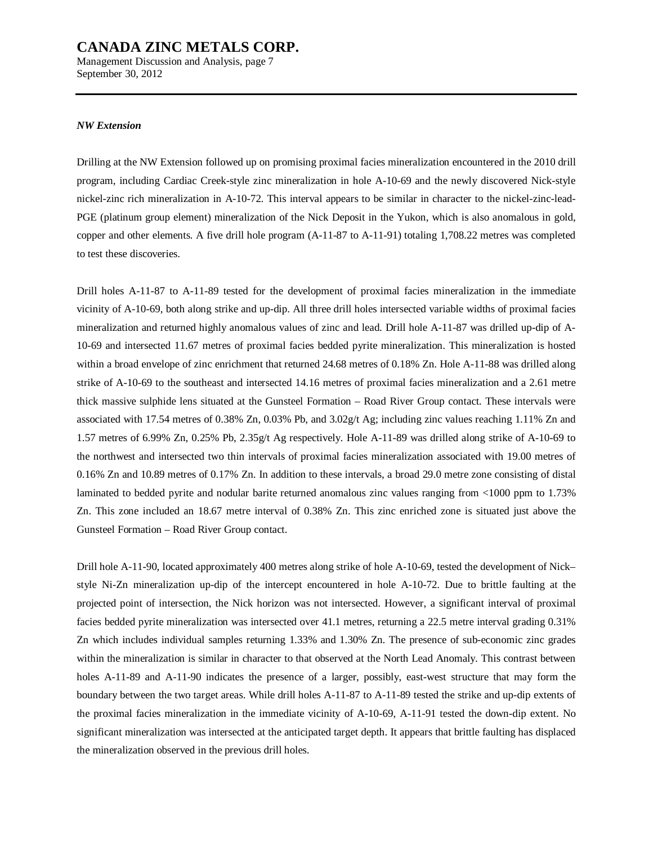Management Discussion and Analysis, page 7 September 30, 2012

#### *NW Extension*

Drilling at the NW Extension followed up on promising proximal facies mineralization encountered in the 2010 drill program, including Cardiac Creek-style zinc mineralization in hole A-10-69 and the newly discovered Nick-style nickel-zinc rich mineralization in A-10-72. This interval appears to be similar in character to the nickel-zinc-lead-PGE (platinum group element) mineralization of the Nick Deposit in the Yukon, which is also anomalous in gold, copper and other elements. A five drill hole program (A-11-87 to A-11-91) totaling 1,708.22 metres was completed to test these discoveries.

Drill holes A-11-87 to A-11-89 tested for the development of proximal facies mineralization in the immediate vicinity of A-10-69, both along strike and up-dip. All three drill holes intersected variable widths of proximal facies mineralization and returned highly anomalous values of zinc and lead. Drill hole A-11-87 was drilled up-dip of A-10-69 and intersected 11.67 metres of proximal facies bedded pyrite mineralization. This mineralization is hosted within a broad envelope of zinc enrichment that returned 24.68 metres of 0.18% Zn. Hole A-11-88 was drilled along strike of A-10-69 to the southeast and intersected 14.16 metres of proximal facies mineralization and a 2.61 metre thick massive sulphide lens situated at the Gunsteel Formation – Road River Group contact. These intervals were associated with 17.54 metres of 0.38% Zn, 0.03% Pb, and 3.02g/t Ag; including zinc values reaching 1.11% Zn and 1.57 metres of 6.99% Zn, 0.25% Pb, 2.35g/t Ag respectively. Hole A-11-89 was drilled along strike of A-10-69 to the northwest and intersected two thin intervals of proximal facies mineralization associated with 19.00 metres of 0.16% Zn and 10.89 metres of 0.17% Zn. In addition to these intervals, a broad 29.0 metre zone consisting of distal laminated to bedded pyrite and nodular barite returned anomalous zinc values ranging from <1000 ppm to 1.73% Zn. This zone included an 18.67 metre interval of 0.38% Zn. This zinc enriched zone is situated just above the Gunsteel Formation – Road River Group contact.

Drill hole A-11-90, located approximately 400 metres along strike of hole A-10-69, tested the development of Nick– style Ni-Zn mineralization up-dip of the intercept encountered in hole A-10-72. Due to brittle faulting at the projected point of intersection, the Nick horizon was not intersected. However, a significant interval of proximal facies bedded pyrite mineralization was intersected over 41.1 metres, returning a 22.5 metre interval grading 0.31% Zn which includes individual samples returning 1.33% and 1.30% Zn. The presence of sub-economic zinc grades within the mineralization is similar in character to that observed at the North Lead Anomaly. This contrast between holes A-11-89 and A-11-90 indicates the presence of a larger, possibly, east-west structure that may form the boundary between the two target areas. While drill holes A-11-87 to A-11-89 tested the strike and up-dip extents of the proximal facies mineralization in the immediate vicinity of A-10-69, A-11-91 tested the down-dip extent. No significant mineralization was intersected at the anticipated target depth. It appears that brittle faulting has displaced the mineralization observed in the previous drill holes.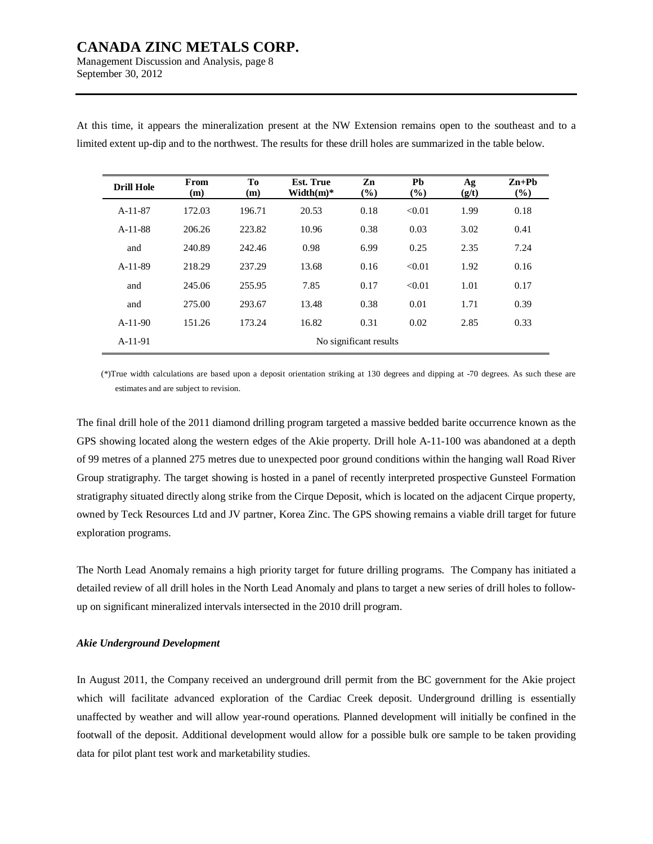Management Discussion and Analysis, page 8 September 30, 2012

| <b>Drill Hole</b> | From<br>(m)            | To<br>(m) | <b>Est. True</b><br>Width $(m)^*$ | Zn<br>(%) | Pb<br>(%) | Ag<br>(g/t) | $Zn+Pb$<br>$\left( \frac{9}{6}\right)$ |  |  |
|-------------------|------------------------|-----------|-----------------------------------|-----------|-----------|-------------|----------------------------------------|--|--|
| $A-11-87$         | 172.03                 | 196.71    | 20.53                             | 0.18      | < 0.01    | 1.99        | 0.18                                   |  |  |
| $A-11-88$         | 206.26                 | 223.82    | 10.96                             | 0.38      | 0.03      | 3.02        | 0.41                                   |  |  |
| and               | 240.89                 | 242.46    | 0.98                              | 6.99      | 0.25      | 2.35        | 7.24                                   |  |  |
| $A-11-89$         | 218.29                 | 237.29    | 13.68                             | 0.16      | < 0.01    | 1.92        | 0.16                                   |  |  |
| and               | 245.06                 | 255.95    | 7.85                              | 0.17      | < 0.01    | 1.01        | 0.17                                   |  |  |
| and               | 275.00                 | 293.67    | 13.48                             | 0.38      | 0.01      | 1.71        | 0.39                                   |  |  |
| $A-11-90$         | 151.26                 | 173.24    | 16.82                             | 0.31      | 0.02      | 2.85        | 0.33                                   |  |  |
| $A-11-91$         | No significant results |           |                                   |           |           |             |                                        |  |  |

At this time, it appears the mineralization present at the NW Extension remains open to the southeast and to a limited extent up-dip and to the northwest. The results for these drill holes are summarized in the table below.

(\*)True width calculations are based upon a deposit orientation striking at 130 degrees and dipping at -70 degrees. As such these are estimates and are subject to revision.

The final drill hole of the 2011 diamond drilling program targeted a massive bedded barite occurrence known as the GPS showing located along the western edges of the Akie property. Drill hole A-11-100 was abandoned at a depth of 99 metres of a planned 275 metres due to unexpected poor ground conditions within the hanging wall Road River Group stratigraphy. The target showing is hosted in a panel of recently interpreted prospective Gunsteel Formation stratigraphy situated directly along strike from the Cirque Deposit, which is located on the adjacent Cirque property, owned by Teck Resources Ltd and JV partner, Korea Zinc. The GPS showing remains a viable drill target for future exploration programs.

The North Lead Anomaly remains a high priority target for future drilling programs. The Company has initiated a detailed review of all drill holes in the North Lead Anomaly and plans to target a new series of drill holes to followup on significant mineralized intervals intersected in the 2010 drill program.

## *Akie Underground Development*

In August 2011, the Company received an underground drill permit from the BC government for the Akie project which will facilitate advanced exploration of the Cardiac Creek deposit. Underground drilling is essentially unaffected by weather and will allow year-round operations. Planned development will initially be confined in the footwall of the deposit. Additional development would allow for a possible bulk ore sample to be taken providing data for pilot plant test work and marketability studies.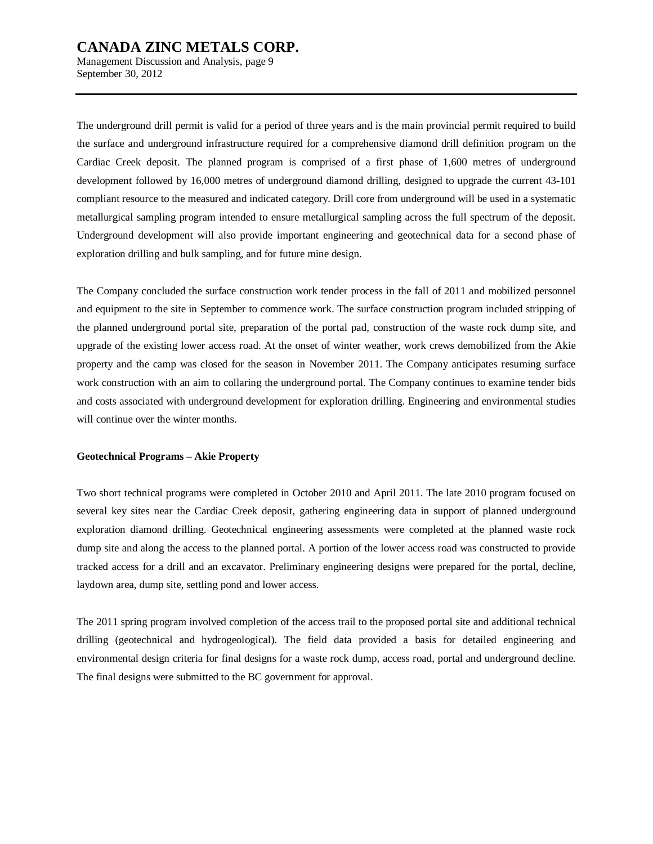Management Discussion and Analysis, page 9 September 30, 2012

The underground drill permit is valid for a period of three years and is the main provincial permit required to build the surface and underground infrastructure required for a comprehensive diamond drill definition program on the Cardiac Creek deposit. The planned program is comprised of a first phase of 1,600 metres of underground development followed by 16,000 metres of underground diamond drilling, designed to upgrade the current 43-101 compliant resource to the measured and indicated category. Drill core from underground will be used in a systematic metallurgical sampling program intended to ensure metallurgical sampling across the full spectrum of the deposit. Underground development will also provide important engineering and geotechnical data for a second phase of exploration drilling and bulk sampling, and for future mine design.

The Company concluded the surface construction work tender process in the fall of 2011 and mobilized personnel and equipment to the site in September to commence work. The surface construction program included stripping of the planned underground portal site, preparation of the portal pad, construction of the waste rock dump site, and upgrade of the existing lower access road. At the onset of winter weather, work crews demobilized from the Akie property and the camp was closed for the season in November 2011. The Company anticipates resuming surface work construction with an aim to collaring the underground portal. The Company continues to examine tender bids and costs associated with underground development for exploration drilling. Engineering and environmental studies will continue over the winter months.

#### **Geotechnical Programs – Akie Property**

Two short technical programs were completed in October 2010 and April 2011. The late 2010 program focused on several key sites near the Cardiac Creek deposit, gathering engineering data in support of planned underground exploration diamond drilling. Geotechnical engineering assessments were completed at the planned waste rock dump site and along the access to the planned portal. A portion of the lower access road was constructed to provide tracked access for a drill and an excavator. Preliminary engineering designs were prepared for the portal, decline, laydown area, dump site, settling pond and lower access.

The 2011 spring program involved completion of the access trail to the proposed portal site and additional technical drilling (geotechnical and hydrogeological). The field data provided a basis for detailed engineering and environmental design criteria for final designs for a waste rock dump, access road, portal and underground decline. The final designs were submitted to the BC government for approval.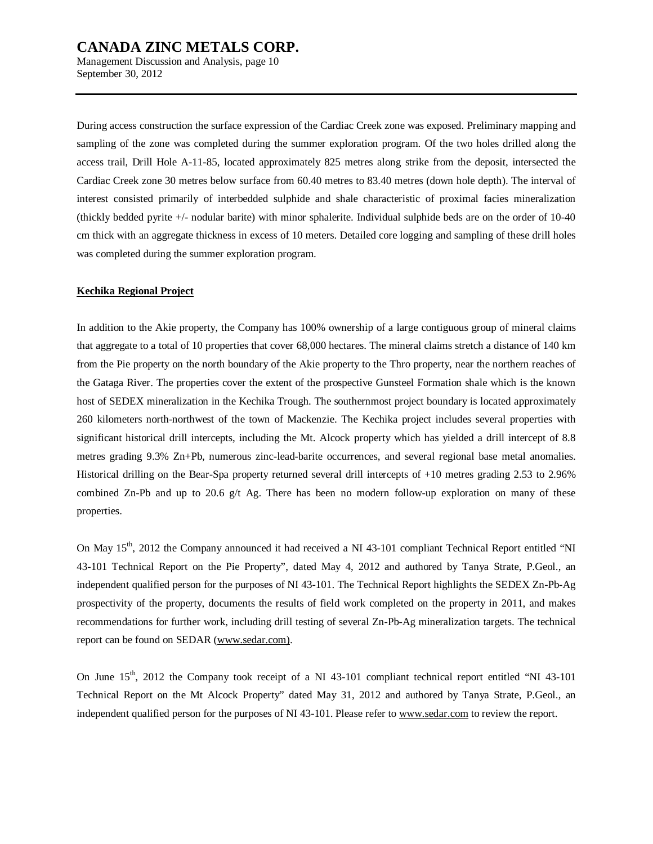Management Discussion and Analysis, page 10 September 30, 2012

During access construction the surface expression of the Cardiac Creek zone was exposed. Preliminary mapping and sampling of the zone was completed during the summer exploration program. Of the two holes drilled along the access trail, Drill Hole A-11-85, located approximately 825 metres along strike from the deposit, intersected the Cardiac Creek zone 30 metres below surface from 60.40 metres to 83.40 metres (down hole depth). The interval of interest consisted primarily of interbedded sulphide and shale characteristic of proximal facies mineralization (thickly bedded pyrite +/- nodular barite) with minor sphalerite. Individual sulphide beds are on the order of 10-40 cm thick with an aggregate thickness in excess of 10 meters. Detailed core logging and sampling of these drill holes was completed during the summer exploration program.

## **Kechika Regional Project**

In addition to the Akie property, the Company has 100% ownership of a large contiguous group of mineral claims that aggregate to a total of 10 properties that cover 68,000 hectares. The mineral claims stretch a distance of 140 km from the Pie property on the north boundary of the Akie property to the Thro property, near the northern reaches of the Gataga River. The properties cover the extent of the prospective Gunsteel Formation shale which is the known host of SEDEX mineralization in the Kechika Trough. The southernmost project boundary is located approximately 260 kilometers north-northwest of the town of Mackenzie. The Kechika project includes several properties with significant historical drill intercepts, including the Mt. Alcock property which has yielded a drill intercept of 8.8 metres grading 9.3% Zn+Pb, numerous zinc-lead-barite occurrences, and several regional base metal anomalies. Historical drilling on the Bear-Spa property returned several drill intercepts of +10 metres grading 2.53 to 2.96% combined Zn-Pb and up to 20.6  $g/t$  Ag. There has been no modern follow-up exploration on many of these properties.

On May 15<sup>th</sup>, 2012 the Company announced it had received a NI 43-101 compliant Technical Report entitled "NI 43-101 Technical Report on the Pie Property", dated May 4, 2012 and authored by Tanya Strate, P.Geol., an independent qualified person for the purposes of NI 43-101. The Technical Report highlights the SEDEX Zn-Pb-Ag prospectivity of the property, documents the results of field work completed on the property in 2011, and makes recommendations for further work, including drill testing of several Zn-Pb-Ag mineralization targets. The technical report can be found on SEDAR ([www.sedar.com\).](http://www.sedar.com))

On June 15<sup>th</sup>, 2012 the Company took receipt of a NI 43-101 compliant technical report entitled "NI 43-101" Technical Report on the Mt Alcock Property" dated May 31, 2012 and authored by Tanya Strate, P.Geol., an independent qualified person for the purposes of NI 43-101. Please refer to [www.sedar.com](http://www.sedar.com) to review the report.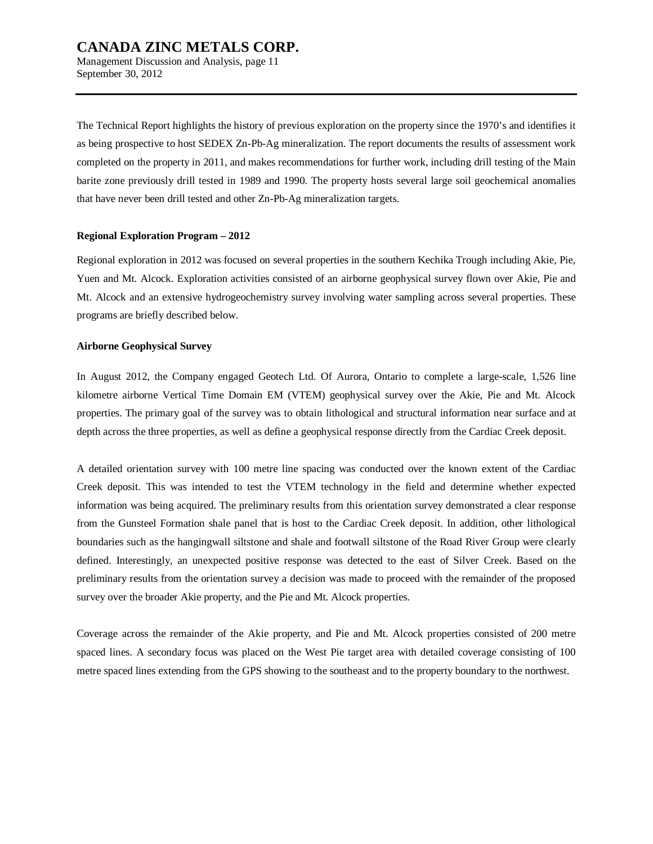September 30, 2012

The Technical Report highlights the history of previous exploration on the property since the 1970's and identifies it as being prospective to host SEDEX Zn-Pb-Ag mineralization. The report documents the results of assessment work completed on the property in 2011, and makes recommendations for further work, including drill testing of the Main barite zone previously drill tested in 1989 and 1990. The property hosts several large soil geochemical anomalies that have never been drill tested and other Zn-Pb-Ag mineralization targets.

## **Regional Exploration Program – 2012**

Regional exploration in 2012 was focused on several properties in the southern Kechika Trough including Akie, Pie, Yuen and Mt. Alcock. Exploration activities consisted of an airborne geophysical survey flown over Akie, Pie and Mt. Alcock and an extensive hydrogeochemistry survey involving water sampling across several properties. These programs are briefly described below.

## **Airborne Geophysical Survey**

In August 2012, the Company engaged Geotech Ltd. Of Aurora, Ontario to complete a large-scale, 1,526 line kilometre airborne Vertical Time Domain EM (VTEM) geophysical survey over the Akie, Pie and Mt. Alcock properties. The primary goal of the survey was to obtain lithological and structural information near surface and at depth across the three properties, as well as define a geophysical response directly from the Cardiac Creek deposit.

A detailed orientation survey with 100 metre line spacing was conducted over the known extent of the Cardiac Creek deposit. This was intended to test the VTEM technology in the field and determine whether expected information was being acquired. The preliminary results from this orientation survey demonstrated a clear response from the Gunsteel Formation shale panel that is host to the Cardiac Creek deposit. In addition, other lithological boundaries such as the hangingwall siltstone and shale and footwall siltstone of the Road River Group were clearly defined. Interestingly, an unexpected positive response was detected to the east of Silver Creek. Based on the preliminary results from the orientation survey a decision was made to proceed with the remainder of the proposed survey over the broader Akie property, and the Pie and Mt. Alcock properties.

Coverage across the remainder of the Akie property, and Pie and Mt. Alcock properties consisted of 200 metre spaced lines. A secondary focus was placed on the West Pie target area with detailed coverage consisting of 100 metre spaced lines extending from the GPS showing to the southeast and to the property boundary to the northwest.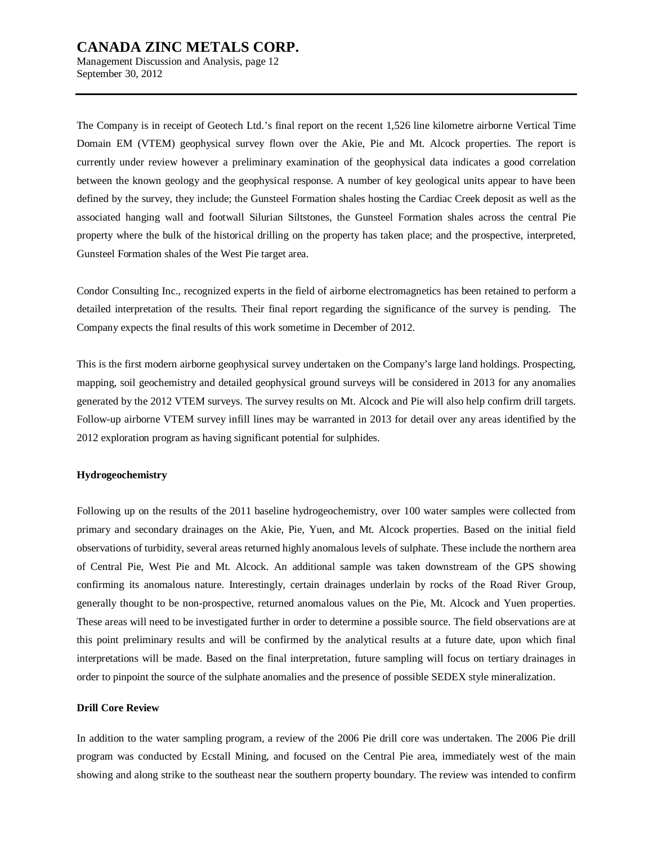Management Discussion and Analysis, page 12 September 30, 2012

The Company is in receipt of Geotech Ltd.'s final report on the recent 1,526 line kilometre airborne Vertical Time Domain EM (VTEM) geophysical survey flown over the Akie, Pie and Mt. Alcock properties. The report is currently under review however a preliminary examination of the geophysical data indicates a good correlation between the known geology and the geophysical response. A number of key geological units appear to have been defined by the survey, they include; the Gunsteel Formation shales hosting the Cardiac Creek deposit as well as the associated hanging wall and footwall Silurian Siltstones, the Gunsteel Formation shales across the central Pie property where the bulk of the historical drilling on the property has taken place; and the prospective, interpreted, Gunsteel Formation shales of the West Pie target area.

Condor Consulting Inc., recognized experts in the field of airborne electromagnetics has been retained to perform a detailed interpretation of the results. Their final report regarding the significance of the survey is pending. The Company expects the final results of this work sometime in December of 2012.

This is the first modern airborne geophysical survey undertaken on the Company's large land holdings. Prospecting, mapping, soil geochemistry and detailed geophysical ground surveys will be considered in 2013 for any anomalies generated by the 2012 VTEM surveys. The survey results on Mt. Alcock and Pie will also help confirm drill targets. Follow-up airborne VTEM survey infill lines may be warranted in 2013 for detail over any areas identified by the 2012 exploration program as having significant potential for sulphides.

#### **Hydrogeochemistry**

Following up on the results of the 2011 baseline hydrogeochemistry, over 100 water samples were collected from primary and secondary drainages on the Akie, Pie, Yuen, and Mt. Alcock properties. Based on the initial field observations of turbidity, several areas returned highly anomalous levels of sulphate. These include the northern area of Central Pie, West Pie and Mt. Alcock. An additional sample was taken downstream of the GPS showing confirming its anomalous nature. Interestingly, certain drainages underlain by rocks of the Road River Group, generally thought to be non-prospective, returned anomalous values on the Pie, Mt. Alcock and Yuen properties. These areas will need to be investigated further in order to determine a possible source. The field observations are at this point preliminary results and will be confirmed by the analytical results at a future date, upon which final interpretations will be made. Based on the final interpretation, future sampling will focus on tertiary drainages in order to pinpoint the source of the sulphate anomalies and the presence of possible SEDEX style mineralization.

#### **Drill Core Review**

In addition to the water sampling program, a review of the 2006 Pie drill core was undertaken. The 2006 Pie drill program was conducted by Ecstall Mining, and focused on the Central Pie area, immediately west of the main showing and along strike to the southeast near the southern property boundary. The review was intended to confirm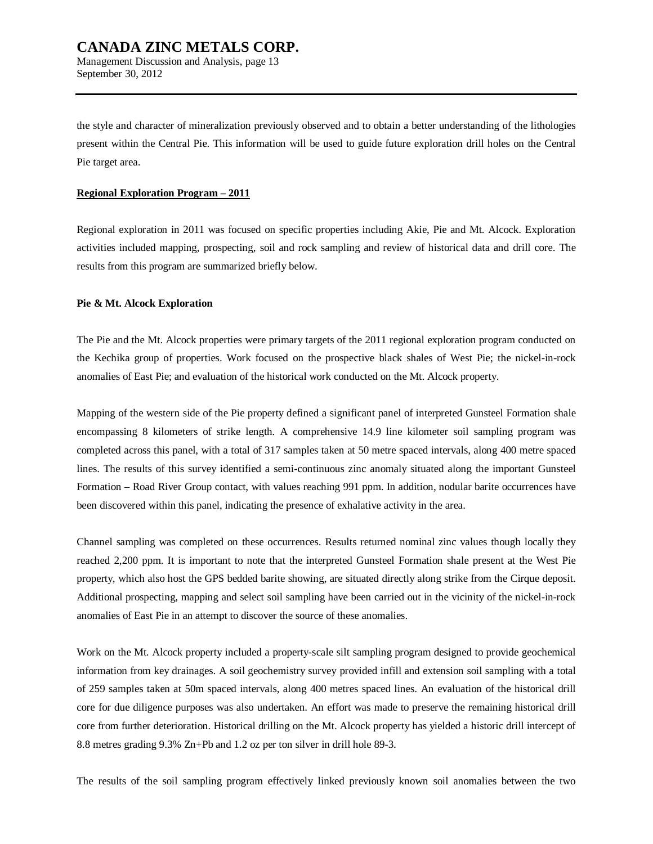the style and character of mineralization previously observed and to obtain a better understanding of the lithologies present within the Central Pie. This information will be used to guide future exploration drill holes on the Central Pie target area.

#### **Regional Exploration Program – 2011**

Regional exploration in 2011 was focused on specific properties including Akie, Pie and Mt. Alcock. Exploration activities included mapping, prospecting, soil and rock sampling and review of historical data and drill core. The results from this program are summarized briefly below.

#### **Pie & Mt. Alcock Exploration**

The Pie and the Mt. Alcock properties were primary targets of the 2011 regional exploration program conducted on the Kechika group of properties. Work focused on the prospective black shales of West Pie; the nickel-in-rock anomalies of East Pie; and evaluation of the historical work conducted on the Mt. Alcock property.

Mapping of the western side of the Pie property defined a significant panel of interpreted Gunsteel Formation shale encompassing 8 kilometers of strike length. A comprehensive 14.9 line kilometer soil sampling program was completed across this panel, with a total of 317 samples taken at 50 metre spaced intervals, along 400 metre spaced lines. The results of this survey identified a semi-continuous zinc anomaly situated along the important Gunsteel Formation – Road River Group contact, with values reaching 991 ppm. In addition, nodular barite occurrences have been discovered within this panel, indicating the presence of exhalative activity in the area.

Channel sampling was completed on these occurrences. Results returned nominal zinc values though locally they reached 2,200 ppm. It is important to note that the interpreted Gunsteel Formation shale present at the West Pie property, which also host the GPS bedded barite showing, are situated directly along strike from the Cirque deposit. Additional prospecting, mapping and select soil sampling have been carried out in the vicinity of the nickel-in-rock anomalies of East Pie in an attempt to discover the source of these anomalies.

Work on the Mt. Alcock property included a property-scale silt sampling program designed to provide geochemical information from key drainages. A soil geochemistry survey provided infill and extension soil sampling with a total of 259 samples taken at 50m spaced intervals, along 400 metres spaced lines. An evaluation of the historical drill core for due diligence purposes was also undertaken. An effort was made to preserve the remaining historical drill core from further deterioration. Historical drilling on the Mt. Alcock property has yielded a historic drill intercept of 8.8 metres grading 9.3% Zn+Pb and 1.2 oz per ton silver in drill hole 89-3.

The results of the soil sampling program effectively linked previously known soil anomalies between the two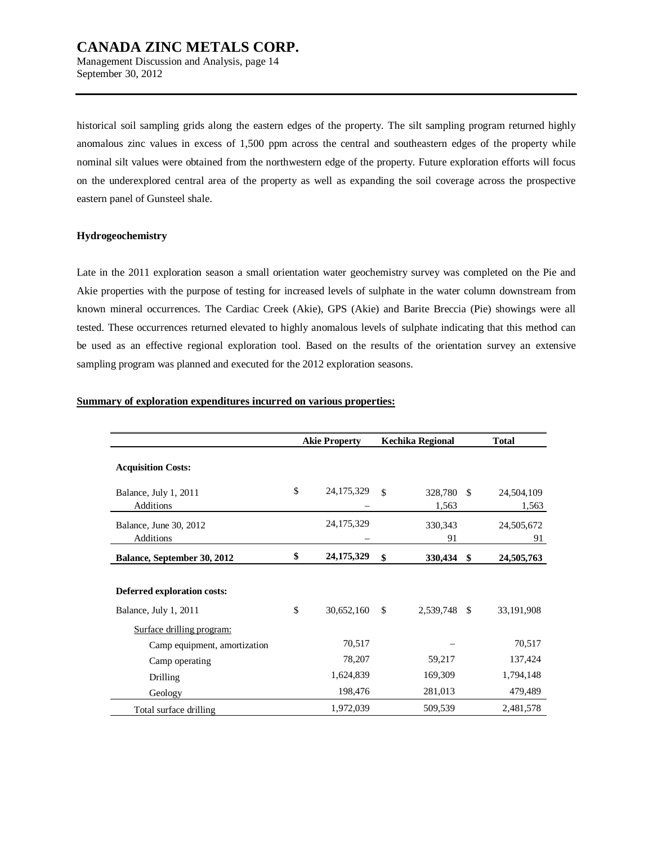historical soil sampling grids along the eastern edges of the property. The silt sampling program returned highly anomalous zinc values in excess of 1,500 ppm across the central and southeastern edges of the property while nominal silt values were obtained from the northwestern edge of the property. Future exploration efforts will focus on the underexplored central area of the property as well as expanding the soil coverage across the prospective eastern panel of Gunsteel shale.

## **Hydrogeochemistry**

Late in the 2011 exploration season a small orientation water geochemistry survey was completed on the Pie and Akie properties with the purpose of testing for increased levels of sulphate in the water column downstream from known mineral occurrences. The Cardiac Creek (Akie), GPS (Akie) and Barite Breccia (Pie) showings were all tested. These occurrences returned elevated to highly anomalous levels of sulphate indicating that this method can be used as an effective regional exploration tool. Based on the results of the orientation survey an extensive sampling program was planned and executed for the 2012 exploration seasons.

|  | Summary of exploration expenditures incurred on various properties: |  |  |  |  |  |
|--|---------------------------------------------------------------------|--|--|--|--|--|
|--|---------------------------------------------------------------------|--|--|--|--|--|

|                              | <b>Akie Property</b> |               | <b>Kechika Regional</b> |               | <b>Total</b> |
|------------------------------|----------------------|---------------|-------------------------|---------------|--------------|
| <b>Acquisition Costs:</b>    |                      |               |                         |               |              |
| Balance, July 1, 2011        | \$<br>24, 175, 329   | $\mathcal{S}$ | 328,780                 | -S            | 24,504,109   |
| <b>Additions</b>             |                      |               | 1,563                   |               | 1,563        |
| Balance, June 30, 2012       | 24, 175, 329         |               | 330,343                 |               | 24,505,672   |
| <b>Additions</b>             |                      |               | 91                      |               | 91           |
| Balance, September 30, 2012  | \$<br>24,175,329     | \$            | 330,434                 | \$            | 24,505,763   |
|                              |                      |               |                         |               |              |
| Deferred exploration costs:  |                      |               |                         |               |              |
| Balance, July 1, 2011        | \$<br>30,652,160     | \$            | 2,539,748               | <sup>\$</sup> | 33,191,908   |
| Surface drilling program:    |                      |               |                         |               |              |
| Camp equipment, amortization | 70,517               |               |                         |               | 70,517       |
| Camp operating               | 78,207               |               | 59,217                  |               | 137,424      |
| Drilling                     | 1,624,839            |               | 169,309                 |               | 1,794,148    |
| Geology                      | 198,476              |               | 281,013                 |               | 479,489      |
| Total surface drilling       | 1,972,039            |               | 509,539                 |               | 2,481,578    |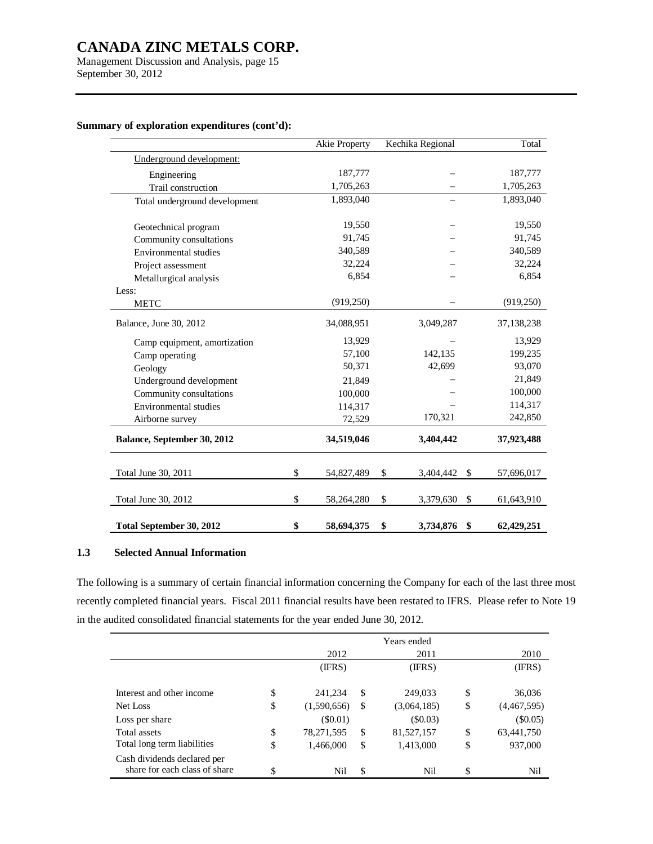Management Discussion and Analysis, page 15 September 30, 2012

|                               | Akie Property    | Kechika Regional | Total            |
|-------------------------------|------------------|------------------|------------------|
| Underground development:      |                  |                  |                  |
| Engineering                   | 187,777          |                  | 187,777          |
| Trail construction            | 1,705,263        |                  | 1,705,263        |
| Total underground development | 1.893.040        |                  | 1,893,040        |
| Geotechnical program          | 19,550           |                  | 19,550           |
| Community consultations       | 91,745           |                  | 91,745           |
| Environmental studies         | 340,589          |                  | 340,589          |
| Project assessment            | 32,224           |                  | 32,224           |
| Metallurgical analysis        | 6,854            |                  | 6,854            |
| Less:                         |                  |                  |                  |
| <b>METC</b>                   | (919, 250)       |                  | (919, 250)       |
| Balance, June 30, 2012        | 34,088,951       | 3,049,287        | 37,138,238       |
| Camp equipment, amortization  | 13,929           |                  | 13,929           |
| Camp operating                | 57,100           | 142,135          | 199,235          |
| Geology                       | 50,371           | 42,699           | 93,070           |
| Underground development       | 21,849           |                  | 21,849           |
| Community consultations       | 100,000          |                  | 100,000          |
| <b>Environmental</b> studies  | 114,317          |                  | 114,317          |
| Airborne survey               | 72,529           | 170,321          | 242,850          |
| Balance, September 30, 2012   | 34,519,046       | 3,404,442        | 37,923,488       |
|                               |                  |                  |                  |
| Total June 30, 2011           | \$<br>54,827,489 | \$<br>3,404,442  | \$<br>57,696,017 |
| Total June 30, 2012           | \$<br>58,264,280 | \$<br>3,379,630  | \$<br>61,643,910 |
| Total September 30, 2012      | \$<br>58,694,375 | \$<br>3,734,876  | \$<br>62,429,251 |

## **Summary of exploration expenditures (cont'd):**

## **1.3 Selected Annual Information**

The following is a summary of certain financial information concerning the Company for each of the last three most recently completed financial years. Fiscal 2011 financial results have been restated to IFRS. Please refer to Note 19 in the audited consolidated financial statements for the year ended June 30, 2012.

|                               |                    |    | Years ended |    |             |
|-------------------------------|--------------------|----|-------------|----|-------------|
|                               | 2012               |    | 2011        |    | 2010        |
|                               | (IFRS)             |    | (IFRS)      |    | (IFRS)      |
|                               |                    |    |             |    |             |
| Interest and other income     | \$<br>241,234      | S  | 249,033     | \$ | 36,036      |
| Net Loss                      | \$<br>(1,590,656)  | \$ | (3,064,185) | \$ | (4,467,595) |
| Loss per share                | $(\$0.01)$         |    | (S0.03)     |    | $(\$0.05)$  |
| Total assets                  | \$<br>78, 271, 595 | S  | 81,527,157  | \$ | 63,441,750  |
| Total long term liabilities   | \$<br>1,466,000    | \$ | 1,413,000   | \$ | 937,000     |
| Cash dividends declared per   |                    |    |             |    |             |
| share for each class of share | \$<br>Nil          | \$ | Nil         | ¢  | Nil         |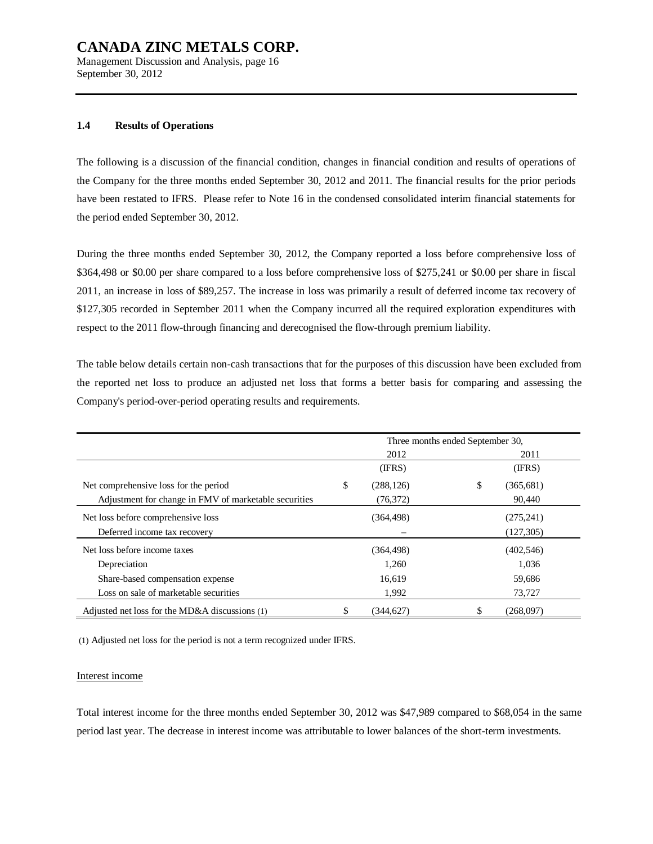Management Discussion and Analysis, page 16 September 30, 2012

## **1.4 Results of Operations**

The following is a discussion of the financial condition, changes in financial condition and results of operations of the Company for the three months ended September 30, 2012 and 2011. The financial results for the prior periods have been restated to IFRS. Please refer to Note 16 in the condensed consolidated interim financial statements for the period ended September 30, 2012.

During the three months ended September 30, 2012, the Company reported a loss before comprehensive loss of \$364,498 or \$0.00 per share compared to a loss before comprehensive loss of \$275,241 or \$0.00 per share in fiscal 2011, an increase in loss of \$89,257. The increase in loss was primarily a result of deferred income tax recovery of \$127,305 recorded in September 2011 when the Company incurred all the required exploration expenditures with respect to the 2011 flow-through financing and derecognised the flow-through premium liability.

The table below details certain non-cash transactions that for the purposes of this discussion have been excluded from the reported net loss to produce an adjusted net loss that forms a better basis for comparing and assessing the Company's period-over-period operating results and requirements.

|                                                       | Three months ended September 30, |            |    |            |  |  |
|-------------------------------------------------------|----------------------------------|------------|----|------------|--|--|
|                                                       |                                  | 2012       |    | 2011       |  |  |
|                                                       |                                  | (IFRS)     |    | (IFRS)     |  |  |
| Net comprehensive loss for the period                 | \$                               | (288, 126) | \$ | (365, 681) |  |  |
| Adjustment for change in FMV of marketable securities |                                  | (76, 372)  |    | 90,440     |  |  |
| Net loss before comprehensive loss                    |                                  | (364, 498) |    | (275, 241) |  |  |
| Deferred income tax recovery                          |                                  |            |    | (127, 305) |  |  |
| Net loss before income taxes                          |                                  | (364, 498) |    | (402, 546) |  |  |
| Depreciation                                          |                                  | 1,260      |    | 1,036      |  |  |
| Share-based compensation expense                      |                                  | 16.619     |    | 59,686     |  |  |
| Loss on sale of marketable securities                 |                                  | 1,992      |    | 73,727     |  |  |
| Adjusted net loss for the MD&A discussions (1)        |                                  | (344.627)  |    | (268.097)  |  |  |

(1) Adjusted net loss for the period is not a term recognized under IFRS.

#### Interest income

Total interest income for the three months ended September 30, 2012 was \$47,989 compared to \$68,054 in the same period last year. The decrease in interest income was attributable to lower balances of the short-term investments.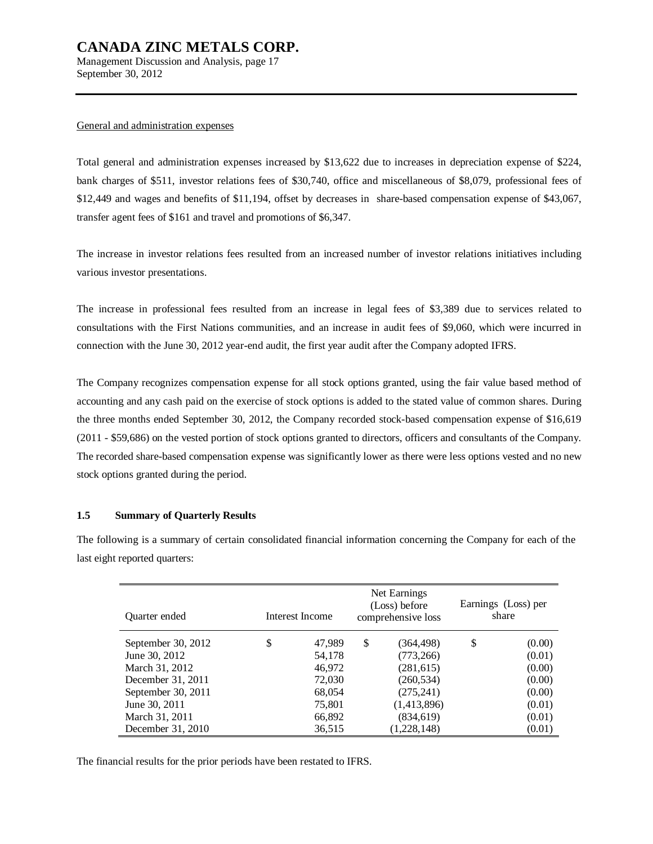Management Discussion and Analysis, page 17 September 30, 2012

#### General and administration expenses

Total general and administration expenses increased by \$13,622 due to increases in depreciation expense of \$224, bank charges of \$511, investor relations fees of \$30,740, office and miscellaneous of \$8,079, professional fees of \$12,449 and wages and benefits of \$11,194, offset by decreases in share-based compensation expense of \$43,067, transfer agent fees of \$161 and travel and promotions of \$6,347.

The increase in investor relations fees resulted from an increased number of investor relations initiatives including various investor presentations.

The increase in professional fees resulted from an increase in legal fees of \$3,389 due to services related to consultations with the First Nations communities, and an increase in audit fees of \$9,060, which were incurred in connection with the June 30, 2012 year-end audit, the first year audit after the Company adopted IFRS.

The Company recognizes compensation expense for all stock options granted, using the fair value based method of accounting and any cash paid on the exercise of stock options is added to the stated value of common shares. During the three months ended September 30, 2012, the Company recorded stock-based compensation expense of \$16,619 (2011 - \$59,686) on the vested portion of stock options granted to directors, officers and consultants of the Company. The recorded share-based compensation expense was significantly lower as there were less options vested and no new stock options granted during the period.

## **1.5 Summary of Quarterly Results**

The following is a summary of certain consolidated financial information concerning the Company for each of the last eight reported quarters:

| Quarter ended      | Interest Income |    | Net Earnings<br>(Loss) before<br>comprehensive loss | Earnings (Loss) per<br>share |        |
|--------------------|-----------------|----|-----------------------------------------------------|------------------------------|--------|
| September 30, 2012 | \$<br>47,989    | \$ | (364, 498)                                          | \$                           | (0.00) |
| June 30, 2012      | 54,178          |    | (773, 266)                                          |                              | (0.01) |
| March 31, 2012     | 46,972          |    | (281,615)                                           |                              | (0.00) |
| December 31, 2011  | 72,030          |    | (260, 534)                                          |                              | (0.00) |
| September 30, 2011 | 68,054          |    | (275, 241)                                          |                              | (0.00) |
| June 30, 2011      | 75,801          |    | (1,413,896)                                         |                              | (0.01) |
| March 31, 2011     | 66,892          |    | (834, 619)                                          |                              | (0.01) |
| December 31, 2010  | 36,515          |    | (1,228,148)                                         |                              | (0.01) |

The financial results for the prior periods have been restated to IFRS.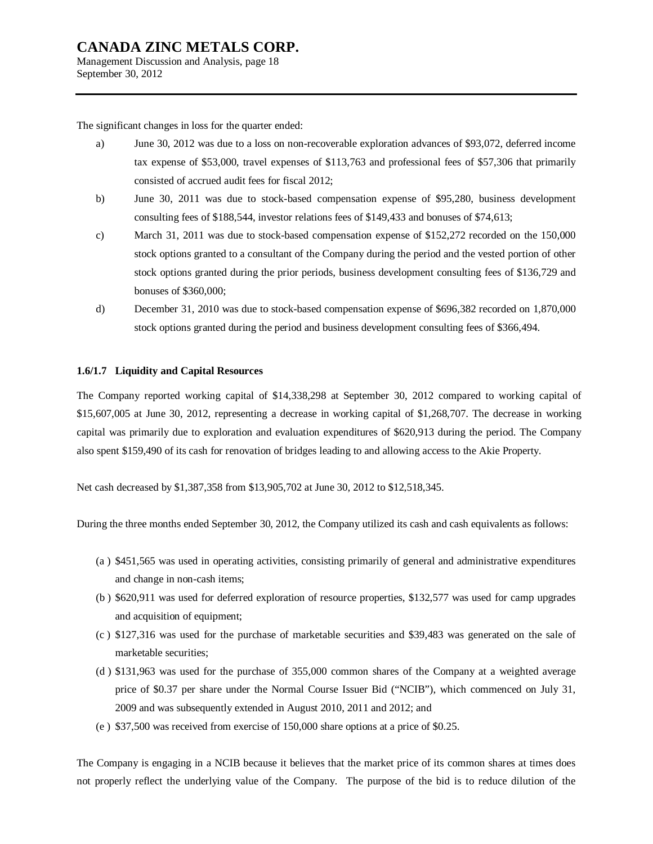Management Discussion and Analysis, page 18 September 30, 2012

The significant changes in loss for the quarter ended:

- a) June 30, 2012 was due to a loss on non-recoverable exploration advances of \$93,072, deferred income tax expense of \$53,000, travel expenses of \$113,763 and professional fees of \$57,306 that primarily consisted of accrued audit fees for fiscal 2012;
- b) June 30, 2011 was due to stock-based compensation expense of \$95,280, business development consulting fees of \$188,544, investor relations fees of \$149,433 and bonuses of \$74,613;
- c) March 31, 2011 was due to stock-based compensation expense of \$152,272 recorded on the 150,000 stock options granted to a consultant of the Company during the period and the vested portion of other stock options granted during the prior periods, business development consulting fees of \$136,729 and bonuses of \$360,000;
- d) December 31, 2010 was due to stock-based compensation expense of \$696,382 recorded on 1,870,000 stock options granted during the period and business development consulting fees of \$366,494.

## **1.6/1.7 Liquidity and Capital Resources**

The Company reported working capital of \$14,338,298 at September 30, 2012 compared to working capital of \$15,607,005 at June 30, 2012, representing a decrease in working capital of \$1,268,707. The decrease in working capital was primarily due to exploration and evaluation expenditures of \$620,913 during the period. The Company also spent \$159,490 of its cash for renovation of bridges leading to and allowing access to the Akie Property.

Net cash decreased by \$1,387,358 from \$13,905,702 at June 30, 2012 to \$12,518,345.

During the three months ended September 30, 2012, the Company utilized its cash and cash equivalents as follows:

- (a ) \$451,565 was used in operating activities, consisting primarily of general and administrative expenditures and change in non-cash items;
- (b ) \$620,911 was used for deferred exploration of resource properties, \$132,577 was used for camp upgrades and acquisition of equipment;
- (c ) \$127,316 was used for the purchase of marketable securities and \$39,483 was generated on the sale of marketable securities;
- (d ) \$131,963 was used for the purchase of 355,000 common shares of the Company at a weighted average price of \$0.37 per share under the Normal Course Issuer Bid ("NCIB"), which commenced on July 31, 2009 and was subsequently extended in August 2010, 2011 and 2012; and
- (e ) \$37,500 was received from exercise of 150,000 share options at a price of \$0.25.

The Company is engaging in a NCIB because it believes that the market price of its common shares at times does not properly reflect the underlying value of the Company. The purpose of the bid is to reduce dilution of the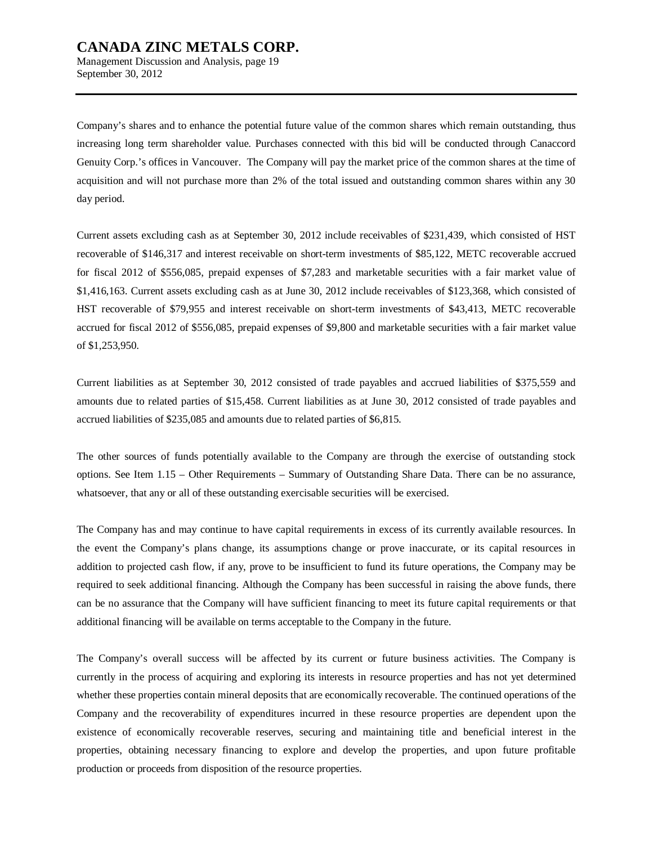Management Discussion and Analysis, page 19 September 30, 2012

Company's shares and to enhance the potential future value of the common shares which remain outstanding, thus increasing long term shareholder value. Purchases connected with this bid will be conducted through Canaccord Genuity Corp.'s offices in Vancouver. The Company will pay the market price of the common shares at the time of acquisition and will not purchase more than 2% of the total issued and outstanding common shares within any 30 day period.

Current assets excluding cash as at September 30, 2012 include receivables of \$231,439, which consisted of HST recoverable of \$146,317 and interest receivable on short-term investments of \$85,122, METC recoverable accrued for fiscal 2012 of \$556,085, prepaid expenses of \$7,283 and marketable securities with a fair market value of \$1,416,163. Current assets excluding cash as at June 30, 2012 include receivables of \$123,368, which consisted of HST recoverable of \$79,955 and interest receivable on short-term investments of \$43,413, METC recoverable accrued for fiscal 2012 of \$556,085, prepaid expenses of \$9,800 and marketable securities with a fair market value of \$1,253,950.

Current liabilities as at September 30, 2012 consisted of trade payables and accrued liabilities of \$375,559 and amounts due to related parties of \$15,458. Current liabilities as at June 30, 2012 consisted of trade payables and accrued liabilities of \$235,085 and amounts due to related parties of \$6,815.

The other sources of funds potentially available to the Company are through the exercise of outstanding stock options. See Item 1.15 – Other Requirements – Summary of Outstanding Share Data. There can be no assurance, whatsoever, that any or all of these outstanding exercisable securities will be exercised.

The Company has and may continue to have capital requirements in excess of its currently available resources. In the event the Company's plans change, its assumptions change or prove inaccurate, or its capital resources in addition to projected cash flow, if any, prove to be insufficient to fund its future operations, the Company may be required to seek additional financing. Although the Company has been successful in raising the above funds, there can be no assurance that the Company will have sufficient financing to meet its future capital requirements or that additional financing will be available on terms acceptable to the Company in the future.

The Company's overall success will be affected by its current or future business activities. The Company is currently in the process of acquiring and exploring its interests in resource properties and has not yet determined whether these properties contain mineral deposits that are economically recoverable. The continued operations of the Company and the recoverability of expenditures incurred in these resource properties are dependent upon the existence of economically recoverable reserves, securing and maintaining title and beneficial interest in the properties, obtaining necessary financing to explore and develop the properties, and upon future profitable production or proceeds from disposition of the resource properties.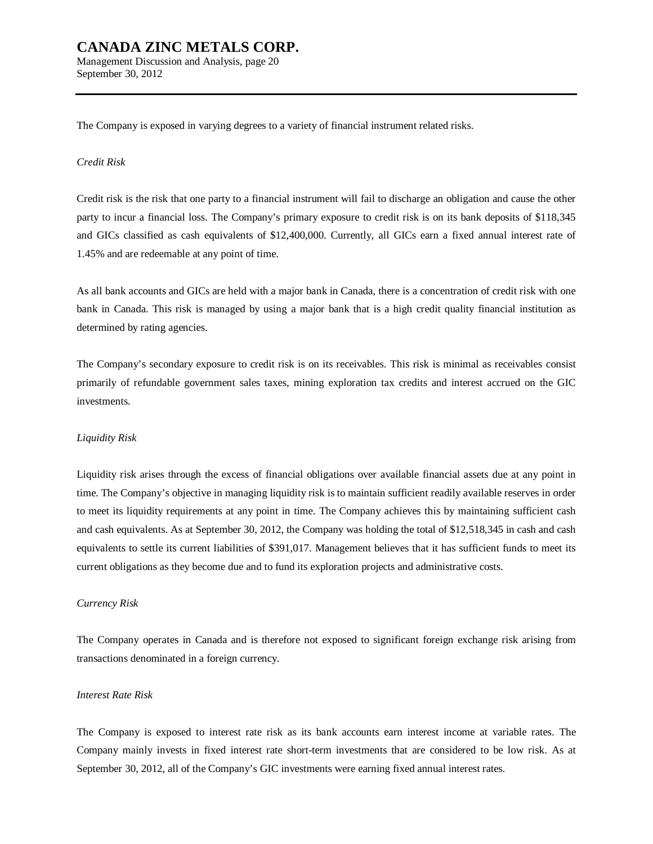The Company is exposed in varying degrees to a variety of financial instrument related risks.

#### *Credit Risk*

Credit risk is the risk that one party to a financial instrument will fail to discharge an obligation and cause the other party to incur a financial loss. The Company's primary exposure to credit risk is on its bank deposits of \$118,345 and GICs classified as cash equivalents of \$12,400,000. Currently, all GICs earn a fixed annual interest rate of 1.45% and are redeemable at any point of time.

As all bank accounts and GICs are held with a major bank in Canada, there is a concentration of credit risk with one bank in Canada. This risk is managed by using a major bank that is a high credit quality financial institution as determined by rating agencies.

The Company's secondary exposure to credit risk is on its receivables. This risk is minimal as receivables consist primarily of refundable government sales taxes, mining exploration tax credits and interest accrued on the GIC investments.

#### *Liquidity Risk*

Liquidity risk arises through the excess of financial obligations over available financial assets due at any point in time. The Company's objective in managing liquidity risk is to maintain sufficient readily available reserves in order to meet its liquidity requirements at any point in time. The Company achieves this by maintaining sufficient cash and cash equivalents. As at September 30, 2012, the Company was holding the total of \$12,518,345 in cash and cash equivalents to settle its current liabilities of \$391,017. Management believes that it has sufficient funds to meet its current obligations as they become due and to fund its exploration projects and administrative costs.

#### *Currency Risk*

The Company operates in Canada and is therefore not exposed to significant foreign exchange risk arising from transactions denominated in a foreign currency.

#### *Interest Rate Risk*

The Company is exposed to interest rate risk as its bank accounts earn interest income at variable rates. The Company mainly invests in fixed interest rate short-term investments that are considered to be low risk. As at September 30, 2012, all of the Company's GIC investments were earning fixed annual interest rates.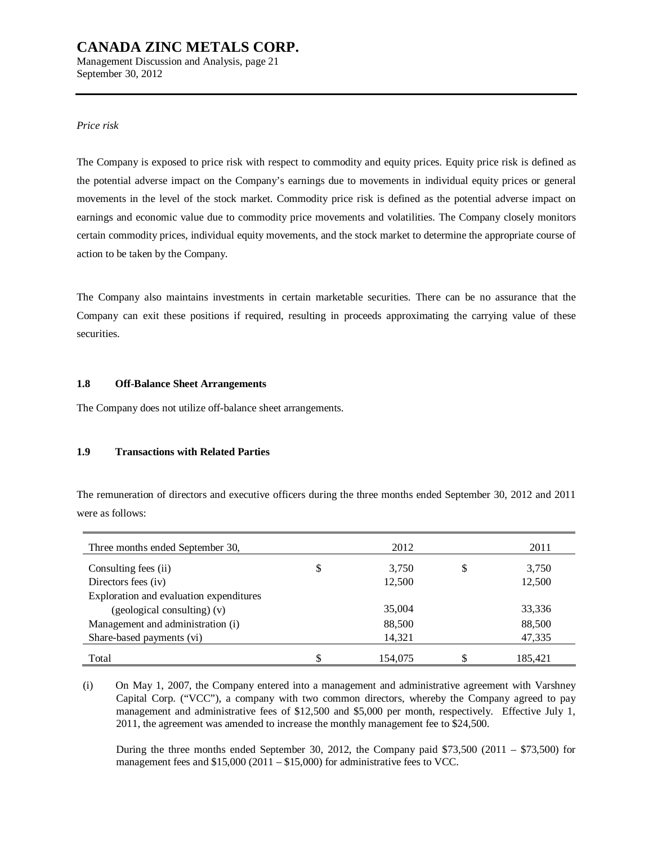Management Discussion and Analysis, page 21 September 30, 2012

## *Price risk*

The Company is exposed to price risk with respect to commodity and equity prices. Equity price risk is defined as the potential adverse impact on the Company's earnings due to movements in individual equity prices or general movements in the level of the stock market. Commodity price risk is defined as the potential adverse impact on earnings and economic value due to commodity price movements and volatilities. The Company closely monitors certain commodity prices, individual equity movements, and the stock market to determine the appropriate course of action to be taken by the Company.

The Company also maintains investments in certain marketable securities. There can be no assurance that the Company can exit these positions if required, resulting in proceeds approximating the carrying value of these securities.

## **1.8 Off-Balance Sheet Arrangements**

The Company does not utilize off-balance sheet arrangements.

## **1.9 Transactions with Related Parties**

The remuneration of directors and executive officers during the three months ended September 30, 2012 and 2011 were as follows:

| Three months ended September 30,        | 2012        |    | 2011    |
|-----------------------------------------|-------------|----|---------|
| Consulting fees (ii)                    | \$<br>3,750 | \$ | 3,750   |
| Directors fees (iv)                     | 12,500      |    | 12,500  |
| Exploration and evaluation expenditures |             |    |         |
| (geological consulting) (v)             | 35,004      |    | 33,336  |
| Management and administration (i)       | 88,500      |    | 88,500  |
| Share-based payments (vi)               | 14,321      |    | 47,335  |
| Total                                   | 154,075     | S  | 185,421 |

(i) On May 1, 2007, the Company entered into a management and administrative agreement with Varshney Capital Corp. ("VCC"), a company with two common directors, whereby the Company agreed to pay management and administrative fees of \$12,500 and \$5,000 per month, respectively. Effective July 1, 2011, the agreement was amended to increase the monthly management fee to \$24,500.

During the three months ended September 30, 2012, the Company paid  $$73,500$  (2011 –  $$73,500$ ) for management fees and \$15,000 (2011 – \$15,000) for administrative fees to VCC.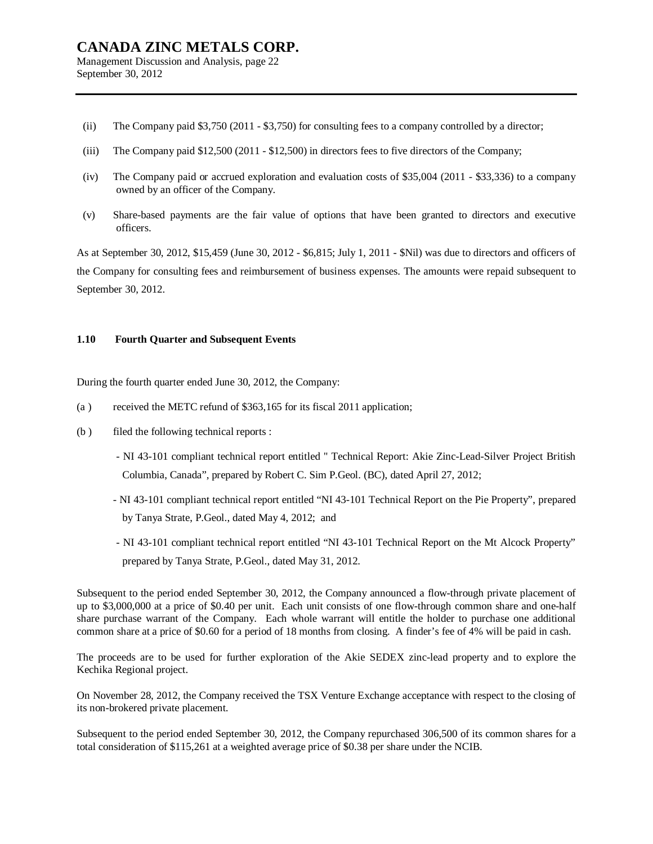## **CANADA ZINC METALS CORP.**  Management Discussion and Analysis, page 22

September 30, 2012

- (ii) The Company paid \$3,750 (2011 \$3,750) for consulting fees to a company controlled by a director;
- (iii) The Company paid \$12,500 (2011 \$12,500) in directors fees to five directors of the Company;
- (iv) The Company paid or accrued exploration and evaluation costs of \$35,004 (2011 \$33,336) to a company owned by an officer of the Company.
- (v) Share-based payments are the fair value of options that have been granted to directors and executive officers.

As at September 30, 2012, \$15,459 (June 30, 2012 - \$6,815; July 1, 2011 - \$Nil) was due to directors and officers of the Company for consulting fees and reimbursement of business expenses. The amounts were repaid subsequent to September 30, 2012.

## **1.10 Fourth Quarter and Subsequent Events**

During the fourth quarter ended June 30, 2012, the Company:

- (a ) received the METC refund of \$363,165 for its fiscal 2011 application;
- (b ) filed the following technical reports :
	- NI 43-101 compliant technical report entitled " Technical Report: Akie Zinc-Lead-Silver Project British Columbia, Canada", prepared by Robert C. Sim P.Geol. (BC), dated April 27, 2012;
	- NI 43-101 compliant technical report entitled "NI 43-101 Technical Report on the Pie Property", prepared by Tanya Strate, P.Geol., dated May 4, 2012; and
	- NI 43-101 compliant technical report entitled "NI 43-101 Technical Report on the Mt Alcock Property" prepared by Tanya Strate, P.Geol., dated May 31, 2012.

Subsequent to the period ended September 30, 2012, the Company announced a flow-through private placement of up to \$3,000,000 at a price of \$0.40 per unit. Each unit consists of one flow-through common share and one-half share purchase warrant of the Company. Each whole warrant will entitle the holder to purchase one additional common share at a price of \$0.60 for a period of 18 months from closing. A finder's fee of 4% will be paid in cash.

The proceeds are to be used for further exploration of the Akie SEDEX zinc-lead property and to explore the Kechika Regional project.

On November 28, 2012, the Company received the TSX Venture Exchange acceptance with respect to the closing of its non-brokered private placement.

Subsequent to the period ended September 30, 2012, the Company repurchased 306,500 of its common shares for a total consideration of \$115,261 at a weighted average price of \$0.38 per share under the NCIB.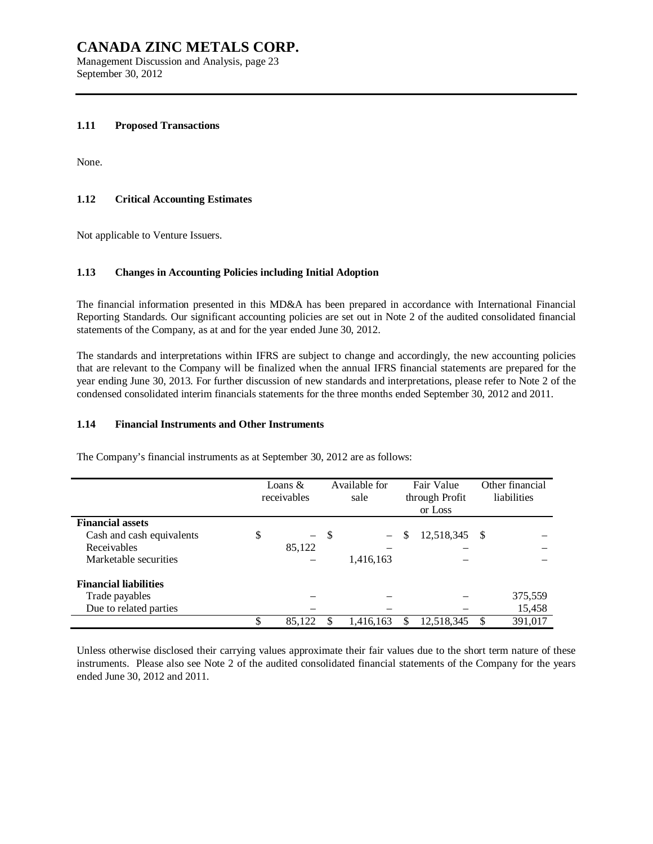Management Discussion and Analysis, page 23 September 30, 2012

#### **1.11 Proposed Transactions**

None.

## **1.12 Critical Accounting Estimates**

Not applicable to Venture Issuers.

## **1.13 Changes in Accounting Policies including Initial Adoption**

The financial information presented in this MD&A has been prepared in accordance with International Financial Reporting Standards. Our significant accounting policies are set out in Note 2 of the audited consolidated financial statements of the Company, as at and for the year ended June 30, 2012.

The standards and interpretations within IFRS are subject to change and accordingly, the new accounting policies that are relevant to the Company will be finalized when the annual IFRS financial statements are prepared for the year ending June 30, 2013. For further discussion of new standards and interpretations, please refer to Note 2 of the condensed consolidated interim financials statements for the three months ended September 30, 2012 and 2011.

## **1.14 Financial Instruments and Other Instruments**

The Company's financial instruments as at September 30, 2012 are as follows:

|                              | Loans $\&$<br>receivables |          | Available for<br>sale |           | Fair Value<br>through Profit<br>or Loss |            |    | Other financial<br>liabilities |
|------------------------------|---------------------------|----------|-----------------------|-----------|-----------------------------------------|------------|----|--------------------------------|
| <b>Financial assets</b>      |                           |          |                       |           |                                         |            |    |                                |
| Cash and cash equivalents    | \$                        | $\equiv$ | -\$                   |           | S                                       | 12,518,345 | -S |                                |
| Receivables                  |                           | 85,122   |                       |           |                                         |            |    |                                |
| Marketable securities        |                           |          |                       | 1,416,163 |                                         |            |    |                                |
| <b>Financial liabilities</b> |                           |          |                       |           |                                         |            |    |                                |
| Trade payables               |                           |          |                       |           |                                         |            |    | 375,559                        |
| Due to related parties       |                           |          |                       |           |                                         |            |    | 15,458                         |
|                              | \$                        | 85,122   |                       | 1,416,163 |                                         | 12,518,345 | \$ | 391,017                        |

Unless otherwise disclosed their carrying values approximate their fair values due to the short term nature of these instruments. Please also see Note 2 of the audited consolidated financial statements of the Company for the years ended June 30, 2012 and 2011.